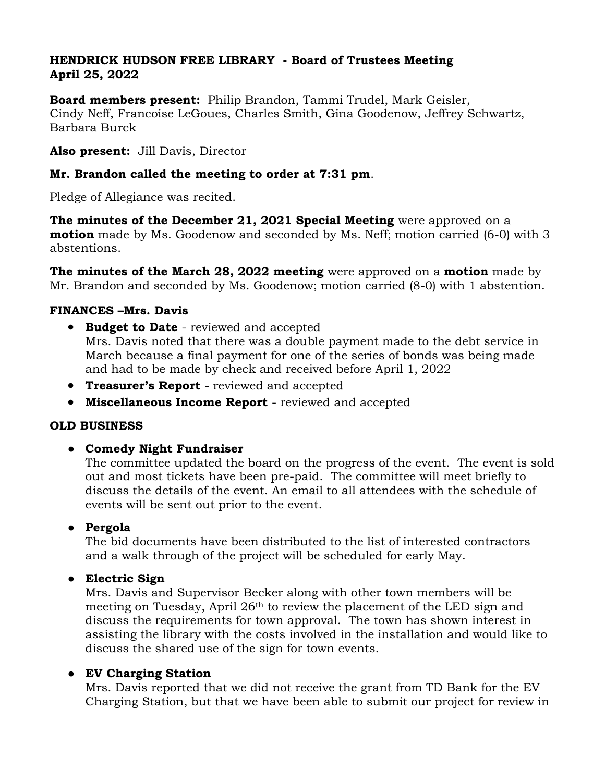## **HENDRICK HUDSON FREE LIBRARY - Board of Trustees Meeting April 25, 2022**

**Board members present:** Philip Brandon, Tammi Trudel, Mark Geisler, Cindy Neff, Francoise LeGoues, Charles Smith, [Gina Goodenow,](mailto:ginagoodenow@gmail.com) Jeffrey Schwartz, Barbara Burck

**Also present:** Jill Davis, Director

## **Mr. Brandon called the meeting to order at 7:31 pm**.

Pledge of Allegiance was recited.

**The minutes of the December 21, 2021 Special Meeting** were approved on a **motion** made by Ms. Goodenow and seconded by Ms. Neff; motion carried (6-0) with 3 abstentions.

**The minutes of the March 28, 2022 meeting** were approved on a **motion** made by Mr. Brandon and seconded by Ms. Goodenow; motion carried (8-0) with 1 abstention.

## **FINANCES –Mrs. Davis**

- **Budget to Date**  reviewed and accepted Mrs. Davis noted that there was a double payment made to the debt service in March because a final payment for one of the series of bonds was being made and had to be made by check and received before April 1, 2022
- **Treasurer's Report**  reviewed and accepted
- **Miscellaneous Income Report**  reviewed and accepted

## **OLD BUSINESS**

# ● **Comedy Night Fundraiser**

The committee updated the board on the progress of the event. The event is sold out and most tickets have been pre-paid. The committee will meet briefly to discuss the details of the event. An email to all attendees with the schedule of events will be sent out prior to the event.

# ● **Pergola**

The bid documents have been distributed to the list of interested contractors and a walk through of the project will be scheduled for early May.

● **Electric Sign**

Mrs. Davis and Supervisor Becker along with other town members will be meeting on Tuesday, April 26<sup>th</sup> to review the placement of the LED sign and discuss the requirements for town approval. The town has shown interest in assisting the library with the costs involved in the installation and would like to discuss the shared use of the sign for town events.

# ● **EV Charging Station**

Mrs. Davis reported that we did not receive the grant from TD Bank for the EV Charging Station, but that we have been able to submit our project for review in